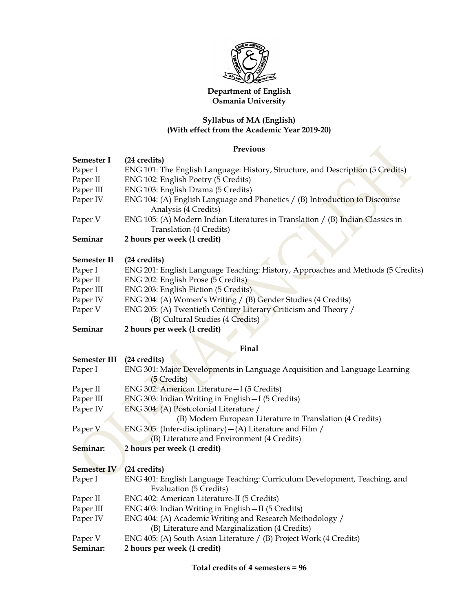

# Department of English Osmania University

## Syllabus of MA (English) (With effect from the Academic Year 2019-20)

# Previous

| Semester I         | (24 credits)                                                                                                |  |  |  |
|--------------------|-------------------------------------------------------------------------------------------------------------|--|--|--|
| Paper I            | ENG 101: The English Language: History, Structure, and Description (5 Credits)                              |  |  |  |
| Paper II           | ENG 102: English Poetry (5 Credits)                                                                         |  |  |  |
| Paper III          | ENG 103: English Drama (5 Credits)                                                                          |  |  |  |
| Paper IV           | ENG 104: (A) English Language and Phonetics / (B) Introduction to Discourse<br>Analysis (4 Credits)         |  |  |  |
| Paper V            | ENG 105: (A) Modern Indian Literatures in Translation $/$ (B) Indian Classics in<br>Translation (4 Credits) |  |  |  |
| Seminar            | 2 hours per week (1 credit)                                                                                 |  |  |  |
| Semester II        | (24 credits)                                                                                                |  |  |  |
| Paper I            | ENG 201: English Language Teaching: History, Approaches and Methods (5 Credits)                             |  |  |  |
| Paper II           | ENG 202: English Prose (5 Credits)                                                                          |  |  |  |
| Paper III          | ENG 203: English Fiction (5 Credits)                                                                        |  |  |  |
| Paper IV           | ENG 204: (A) Women's Writing / (B) Gender Studies (4 Credits)                                               |  |  |  |
| Paper V            | ENG 205: (A) Twentieth Century Literary Criticism and Theory /<br>(B) Cultural Studies (4 Credits)          |  |  |  |
| Seminar            | 2 hours per week (1 credit)                                                                                 |  |  |  |
|                    | Final                                                                                                       |  |  |  |
| Semester III       | (24 credits)                                                                                                |  |  |  |
| Paper I            | ENG 301: Major Developments in Language Acquisition and Language Learning<br>(5 Credits)                    |  |  |  |
| Paper II           | ENG 302: American Literature - I (5 Credits)                                                                |  |  |  |
| Paper III          | ENG 303: Indian Writing in English - I (5 Credits)                                                          |  |  |  |
| Paper IV           | ENG 304: (A) Postcolonial Literature /                                                                      |  |  |  |
|                    | (B) Modern European Literature in Translation (4 Credits)                                                   |  |  |  |
| Paper <sub>V</sub> | ENG 305: (Inter-disciplinary) $-$ (A) Literature and Film /                                                 |  |  |  |
|                    | (B) Literature and Environment (4 Credits)                                                                  |  |  |  |
| Seminar:           | 2 hours per week (1 credit)                                                                                 |  |  |  |
| Semester IV        | (24 credits)                                                                                                |  |  |  |
| Paper I            | ENG 401: English Language Teaching: Curriculum Development, Teaching, and<br><b>Evaluation (5 Credits)</b>  |  |  |  |
| Paper II           | ENG 402: American Literature-II (5 Credits)                                                                 |  |  |  |
| Paper III          | ENG 403: Indian Writing in English - II (5 Credits)                                                         |  |  |  |
| Paper IV           | ENG 404: (A) Academic Writing and Research Methodology /<br>(B) Literature and Marginalization (4 Credits)  |  |  |  |
| Paper V            | ENG 405: (A) South Asian Literature / (B) Project Work (4 Credits)                                          |  |  |  |
| Seminar:           | 2 hours per week (1 credit)                                                                                 |  |  |  |

Total credits of 4 semesters = 96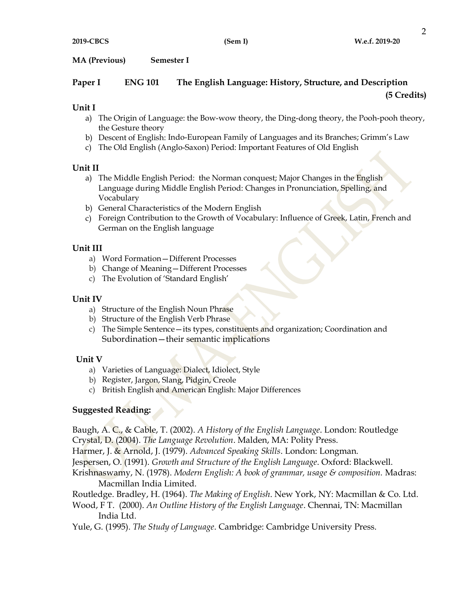MA (Previous) Semester I

# Paper I ENG 101 The English Language: History, Structure, and Description

### (5 Credits)

## Unit I

- a) The Origin of Language: the Bow-wow theory, the Ding-dong theory, the Pooh-pooh theory, the Gesture theory
- b) Descent of English: Indo-European Family of Languages and its Branches; Grimm's Law
- c) The Old English (Anglo-Saxon) Period: Important Features of Old English

### Unit II

- a) The Middle English Period: the Norman conquest; Major Changes in the English Language during Middle English Period: Changes in Pronunciation, Spelling, and Vocabulary
- b) General Characteristics of the Modern English
- c) Foreign Contribution to the Growth of Vocabulary: Influence of Greek, Latin, French and German on the English language

# Unit III

- a) Word Formation—Different Processes
- b) Change of Meaning—Different Processes
- c) The Evolution of 'Standard English'

## Unit IV

- a) Structure of the English Noun Phrase
- b) Structure of the English Verb Phrase
- c) The Simple Sentence—its types, constituents and organization; Coordination and Subordination—their semantic implications

# Unit V

- a) Varieties of Language: Dialect, Idiolect, Style
- b) Register, Jargon, Slang, Pidgin, Creole
- c) British English and American English: Major Differences

# Suggested Reading:

Baugh, A. C., & Cable, T. (2002). A History of the English Language. London: Routledge Crystal, D. (2004). The Language Revolution. Malden, MA: Polity Press.

Harmer, J. & Arnold, J. (1979). Advanced Speaking Skills. London: Longman.

Jespersen, O. (1991). Growth and Structure of the English Language. Oxford: Blackwell.

Krishnaswamy, N. (1978). Modern English: A book of grammar, usage & composition. Madras: Macmillan India Limited.

Routledge. Bradley, H. (1964). The Making of English. New York, NY: Macmillan & Co. Ltd.

Wood, F T. (2000). An Outline History of the English Language. Chennai, TN: Macmillan India Ltd.

Yule, G. (1995). The Study of Language. Cambridge: Cambridge University Press.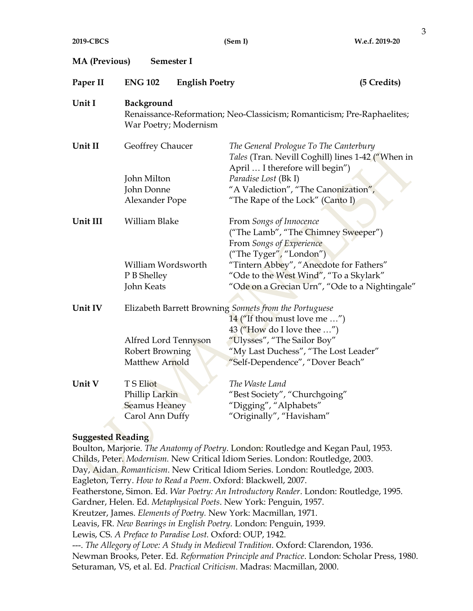(Sem I) W.e.f. 2019-20

| <b>MA</b> (Previous)<br>Semester I |                                                                                                                      |                                                                                                                                |             |  |  |
|------------------------------------|----------------------------------------------------------------------------------------------------------------------|--------------------------------------------------------------------------------------------------------------------------------|-------------|--|--|
| Paper II                           | <b>ENG 102</b><br><b>English Poetry</b>                                                                              |                                                                                                                                | (5 Credits) |  |  |
| Unit I                             | Background<br>Renaissance-Reformation; Neo-Classicism; Romanticism; Pre-Raphaelites;<br>War Poetry; Modernism        |                                                                                                                                |             |  |  |
| Unit II                            | Geoffrey Chaucer                                                                                                     | The General Prologue To The Canterbury<br>Tales (Tran. Nevill Coghill) lines 1-42 ("When in<br>April  I therefore will begin") |             |  |  |
|                                    | John Milton                                                                                                          | Paradise Lost (Bk I)                                                                                                           |             |  |  |
|                                    | John Donne                                                                                                           | "A Valediction", "The Canonization",                                                                                           |             |  |  |
|                                    | Alexander Pope                                                                                                       | "The Rape of the Lock" (Canto I)                                                                                               |             |  |  |
| Unit III                           | William Blake                                                                                                        | From Songs of Innocence<br>("The Lamb", "The Chimney Sweeper")<br>From Songs of Experience<br>("The Tyger", "London")          |             |  |  |
|                                    | William Wordsworth                                                                                                   | "Tintern Abbey", "Anecdote for Fathers"                                                                                        |             |  |  |
|                                    | P B Shelley                                                                                                          | "Ode to the West Wind", "To a Skylark"                                                                                         |             |  |  |
|                                    | John Keats                                                                                                           | "Ode on a Grecian Urn", "Ode to a Nightingale"                                                                                 |             |  |  |
| Unit IV                            | Elizabeth Barrett Browning Sonnets from the Portuguese<br>14 ("If thou must love me ")<br>43 ("How do I love thee ") |                                                                                                                                |             |  |  |
|                                    | Alfred Lord Tennyson                                                                                                 | "Ulysses", "The Sailor Boy"                                                                                                    |             |  |  |
|                                    | Robert Browning                                                                                                      | "My Last Duchess", "The Lost Leader"                                                                                           |             |  |  |
|                                    | Matthew Arnold                                                                                                       | "Self-Dependence", "Dover Beach"                                                                                               |             |  |  |
| Unit V                             | <b>TS Eliot</b>                                                                                                      | The Waste Land                                                                                                                 |             |  |  |
|                                    | Phillip Larkin                                                                                                       | "Best Society", "Churchgoing"                                                                                                  |             |  |  |
|                                    | <b>Seamus Heaney</b>                                                                                                 | "Digging", "Alphabets"                                                                                                         |             |  |  |
|                                    | Carol Ann Duffy                                                                                                      | "Originally", "Havisham"                                                                                                       |             |  |  |
| <b>Suggested Reading</b>           |                                                                                                                      |                                                                                                                                |             |  |  |
|                                    |                                                                                                                      | Boulton, Marjorie. The Anatomy of Poetry. London: Routledge and Kegan Paul, 1953.                                              |             |  |  |

Childs, Peter. Modernism. New Critical Idiom Series. London: Routledge, 2003. Day, Aidan. Romanticism. New Critical Idiom Series. London: Routledge, 2003. Eagleton, Terry. How to Read a Poem. Oxford: Blackwell, 2007. Featherstone, Simon. Ed. War Poetry: An Introductory Reader. London: Routledge, 1995. Gardner, Helen. Ed. Metaphysical Poets. New York: Penguin, 1957. Kreutzer, James. Elements of Poetry. New York: Macmillan, 1971. Leavis, FR. New Bearings in English Poetry. London: Penguin, 1939. Lewis, CS. A Preface to Paradise Lost. Oxford: OUP, 1942. ---. The Allegory of Love: A Study in Medieval Tradition. Oxford: Clarendon, 1936. Newman Brooks, Peter. Ed. Reformation Principle and Practice. London: Scholar Press, 1980. Seturaman, VS, et al. Ed. Practical Criticism. Madras: Macmillan, 2000.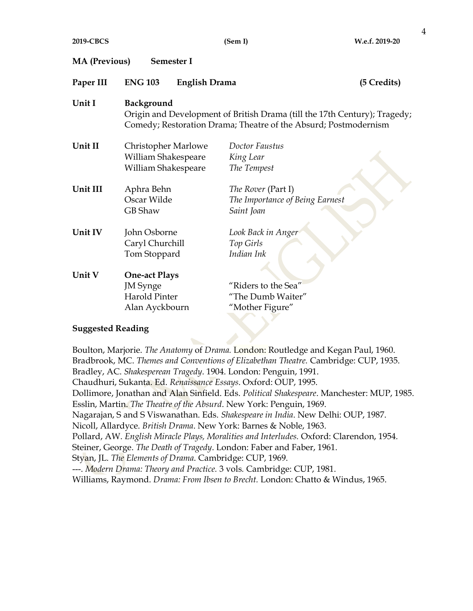| <b>MA</b> (Previous)<br>Semester I |                                                                                                                                                            |                                 |  |  |  |  |
|------------------------------------|------------------------------------------------------------------------------------------------------------------------------------------------------------|---------------------------------|--|--|--|--|
| Paper III                          | <b>ENG 103</b><br><b>English Drama</b>                                                                                                                     | (5 Credits)                     |  |  |  |  |
| Unit I                             | Background<br>Origin and Development of British Drama (till the 17th Century); Tragedy;<br>Comedy; Restoration Drama; Theatre of the Absurd; Postmodernism |                                 |  |  |  |  |
| Unit II                            | Christopher Marlowe                                                                                                                                        | Doctor Faustus                  |  |  |  |  |
|                                    | William Shakespeare                                                                                                                                        | King Lear                       |  |  |  |  |
|                                    | William Shakespeare                                                                                                                                        | The Tempest                     |  |  |  |  |
| Unit III                           | Aphra Behn                                                                                                                                                 | The Rover (Part I)              |  |  |  |  |
|                                    | Oscar Wilde                                                                                                                                                | The Importance of Being Earnest |  |  |  |  |
|                                    | <b>GB</b> Shaw                                                                                                                                             | Saint Joan                      |  |  |  |  |
| Unit IV                            | John Osborne                                                                                                                                               | Look Back in Anger              |  |  |  |  |
|                                    | Caryl Churchill                                                                                                                                            | Top Girls                       |  |  |  |  |
|                                    | Tom Stoppard                                                                                                                                               | Indian Ink                      |  |  |  |  |
| Unit V                             | <b>One-act Plays</b>                                                                                                                                       |                                 |  |  |  |  |
|                                    | <b>JM</b> Synge                                                                                                                                            | "Riders to the Sea"             |  |  |  |  |
|                                    | <b>Harold Pinter</b>                                                                                                                                       | "The Dumb Waiter"               |  |  |  |  |
|                                    | Alan Ayckbourn                                                                                                                                             | "Mother Figure"                 |  |  |  |  |
|                                    |                                                                                                                                                            |                                 |  |  |  |  |

#### Suggested Reading

Boulton, Marjorie. The Anatomy of Drama. London: Routledge and Kegan Paul, 1960. Bradbrook, MC. Themes and Conventions of Elizabethan Theatre. Cambridge: CUP, 1935. Bradley, AC. Shakesperean Tragedy. 1904. London: Penguin, 1991. Chaudhuri, Sukanta. Ed. Renaissance Essays. Oxford: OUP, 1995. Dollimore, Jonathan and Alan Sinfield. Eds. Political Shakespeare. Manchester: MUP, 1985. Esslin, Martin. The Theatre of the Absurd. New York: Penguin, 1969. Nagarajan, S and S Viswanathan. Eds. Shakespeare in India. New Delhi: OUP, 1987. Nicoll, Allardyce. British Drama. New York: Barnes & Noble, 1963. Pollard, AW. English Miracle Plays, Moralities and Interludes. Oxford: Clarendon, 1954. Steiner, George. The Death of Tragedy. London: Faber and Faber, 1961. Styan, JL. The Elements of Drama. Cambridge: CUP, 1969. ---. Modern Drama: Theory and Practice. 3 vols. Cambridge: CUP, 1981. Williams, Raymond. Drama: From Ibsen to Brecht. London: Chatto & Windus, 1965.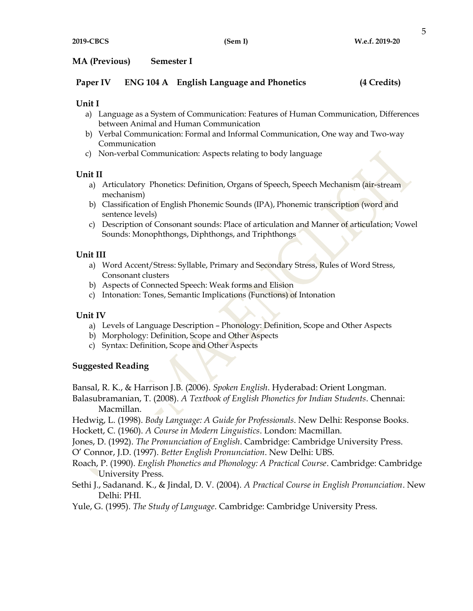#### MA (Previous) Semester I

| <b>ENG 104 A</b> English Language and Phonetics | Paper IV | (4 Credits) |  |
|-------------------------------------------------|----------|-------------|--|
|-------------------------------------------------|----------|-------------|--|

#### Unit I

- a) Language as a System of Communication: Features of Human Communication, Differences between Animal and Human Communication
- b) Verbal Communication: Formal and Informal Communication, One way and Two-way Communication
- c) Non-verbal Communication: Aspects relating to body language

#### Unit II

- a) Articulatory Phonetics: Definition, Organs of Speech, Speech Mechanism (air-stream mechanism)
- b) Classification of English Phonemic Sounds (IPA), Phonemic transcription (word and sentence levels)
- c) Description of Consonant sounds: Place of articulation and Manner of articulation; Vowel Sounds: Monophthongs, Diphthongs, and Triphthongs

### Unit III

- a) Word Accent/Stress: Syllable, Primary and Secondary Stress, Rules of Word Stress, Consonant clusters
- b) Aspects of Connected Speech: Weak forms and Elision
- c) Intonation: Tones, Semantic Implications (Functions) of Intonation

### Unit IV

- a) Levels of Language Description Phonology: Definition, Scope and Other Aspects
- b) Morphology: Definition, Scope and Other Aspects
- c) Syntax: Definition, Scope and Other Aspects

### Suggested Reading

Bansal, R. K., & Harrison J.B. (2006). Spoken English. Hyderabad: Orient Longman.

Balasubramanian, T. (2008). A Textbook of English Phonetics for Indian Students. Chennai: Macmillan.

Hedwig, L. (1998). Body Language: A Guide for Professionals. New Delhi: Response Books.

Hockett, C. (1960). A Course in Modern Linguistics. London: Macmillan.

Jones, D. (1992). The Pronunciation of English. Cambridge: Cambridge University Press.

O' Connor, J.D. (1997). Better English Pronunciation. New Delhi: UBS.

Roach, P. (1990). English Phonetics and Phonology: A Practical Course. Cambridge: Cambridge University Press.

Sethi J., Sadanand. K., & Jindal, D. V. (2004). A Practical Course in English Pronunciation. New Delhi: PHI.

Yule, G. (1995). The Study of Language. Cambridge: Cambridge University Press.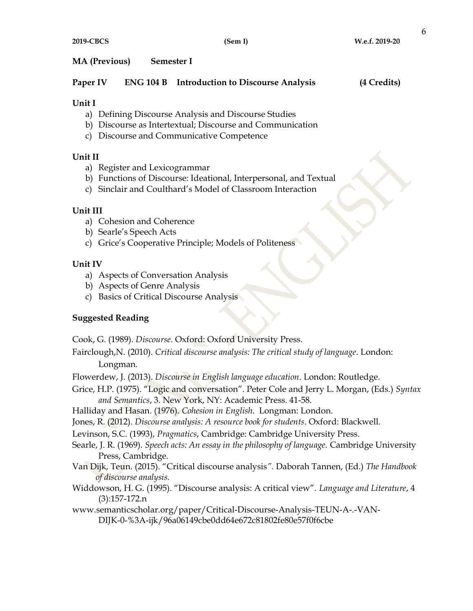### MA (Previous) Semester I

| Paper IV |  | <b>ENG 104 B</b> Introduction to Discourse Analysis | (4 Credits) |
|----------|--|-----------------------------------------------------|-------------|
|----------|--|-----------------------------------------------------|-------------|

#### Unit I

- a) Defining Discourse Analysis and Discourse Studies
- b) Discourse as Intertextual; Discourse and Communication
- c) Discourse and Communicative Competence

## Unit II

- a) Register and Lexicogrammar
- b) Functions of Discourse: Ideational, Interpersonal, and Textual
- c) Sinclair and Coulthard's Model of Classroom Interaction

## Unit III

- a) Cohesion and Coherence
- b) Searle's Speech Acts
- c) Grice's Cooperative Principle; Models of Politeness

## Unit IV

- a) Aspects of Conversation Analysis
- b) Aspects of Genre Analysis
- c) Basics of Critical Discourse Analysis

# Suggested Reading

Cook, G. (1989). Discourse. Oxford: Oxford University Press.

Fairclough,N. (2010). Critical discourse analysis: The critical study of language. London:

Longman.

Flowerdew, J. (2013). Discourse in English language education. London: Routledge.

Grice, H.P. (1975). "Logic and conversation". Peter Cole and Jerry L. Morgan, (Eds.) Syntax and Semantics, 3. New York, NY: Academic Press. 41-58.

Halliday and Hasan. (1976). Cohesion in English. Longman: London.

Jones, R. (2012). Discourse analysis: A resource book for students. Oxford: Blackwell.

Levinson, S.C. (1993), Pragmatics, Cambridge: Cambridge University Press.

- Searle, J. R. (1969). Speech acts: An essay in the philosophy of language. Cambridge University Press, Cambridge.
- Van Dijk, Teun. (2015). "Critical discourse analysis". Daborah Tannen, (Ed.) The Handbook of discourse analysis.
- Widdowson, H. G. (1995). "Discourse analysis: A critical view". Language and Literature, 4 (3):157-172.n
- www.semanticscholar.org/paper/Critical-Discourse-Analysis-TEUN-A-.-VAN-DIJK-0-%3A-ijk/96a06149cbe0dd64e672c81802fe80e57f0f6cbe